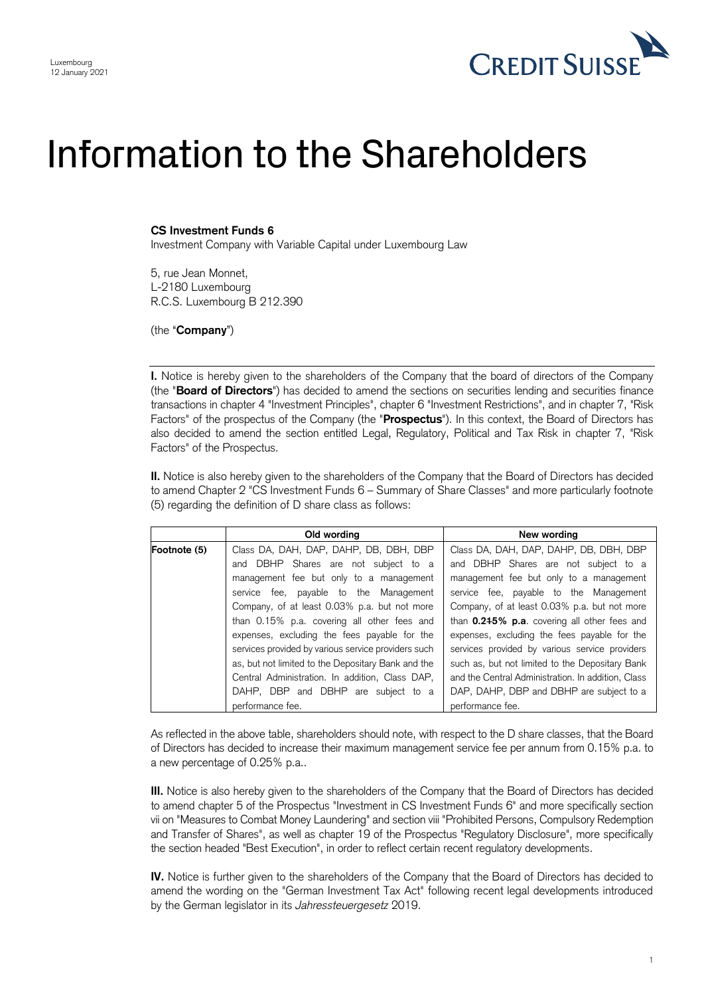

## Information to the Shareholders

## **CS Investment Funds 6**

Investment Company with Variable Capital under Luxembourg Law

5, rue Jean Monnet, L-2180 Luxembourg R.C.S. Luxembourg B 212.390

(the "**Company**")

 **I.** Notice is hereby given to the shareholders of the Company that the board of directors of the Company (the "**Board of Directors**") has decided to amend the sections on securities lending and securities finance transactions in chapter 4 "Investment Principles", chapter 6 "Investment Restrictions", and in chapter 7, "Risk Factors" of the prospectus of the Company (the "**Prospectus**"). In this context, the Board of Directors has also decided to amend the section entitled Legal, Regulatory, Political and Tax Risk in chapter 7, "Risk Factors" of the Prospectus.

 **II.** Notice is also hereby given to the shareholders of the Company that the Board of Directors has decided to amend Chapter 2 "CS Investment Funds 6 – Summary of Share Classes" and more particularly footnote (5) regarding the definition of D share class as follows:

|              | Old wording                                         | New wording                                        |  |  |  |
|--------------|-----------------------------------------------------|----------------------------------------------------|--|--|--|
| Footnote (5) | Class DA, DAH, DAP, DAHP, DB, DBH, DBP              | Class DA, DAH, DAP, DAHP, DB, DBH, DBP             |  |  |  |
|              | and DBHP Shares are not subject to a                | and DBHP Shares are not subject to a               |  |  |  |
|              | management fee but only to a management             | management fee but only to a management            |  |  |  |
|              | service fee, payable to the Management              | service fee, payable to the Management             |  |  |  |
|              | Company, of at least 0.03% p.a. but not more        | Company, of at least 0.03% p.a. but not more       |  |  |  |
|              | than 0.15% p.a. covering all other fees and         | than 0.245% p.a. covering all other fees and       |  |  |  |
|              | expenses, excluding the fees payable for the        | expenses, excluding the fees payable for the       |  |  |  |
|              | services provided by various service providers such | services provided by various service providers     |  |  |  |
|              | as, but not limited to the Depositary Bank and the  | such as, but not limited to the Depositary Bank    |  |  |  |
|              | Central Administration. In addition, Class DAP,     | and the Central Administration. In addition, Class |  |  |  |
|              | DAHP, DBP and DBHP are subject to a                 | DAP, DAHP, DBP and DBHP are subject to a           |  |  |  |
|              | performance fee.                                    | performance fee.                                   |  |  |  |

 As reflected in the above table, shareholders should note, with respect to the D share classes, that the Board of Directors has decided to increase their maximum management service fee per annum from 0.15% p.a. to a new percentage of 0.25% p.a..

**III.** Notice is also hereby given to the shareholders of the Company that the Board of Directors has decided to amend chapter 5 of the Prospectus "Investment in CS Investment Funds 6" and more specifically section vii on "Measures to Combat Money Laundering" and section viii "Prohibited Persons, Compulsory Redemption and Transfer of Shares", as well as chapter 19 of the Prospectus "Regulatory Disclosure", more specifically the section headed "Best Execution", in order to reflect certain recent regulatory developments.

 **IV.** Notice is further given to the shareholders of the Company that the Board of Directors has decided to amend the wording on the "German Investment Tax Act" following recent legal developments introduced by the German legislator in its *Jahressteuergesetz* 2019.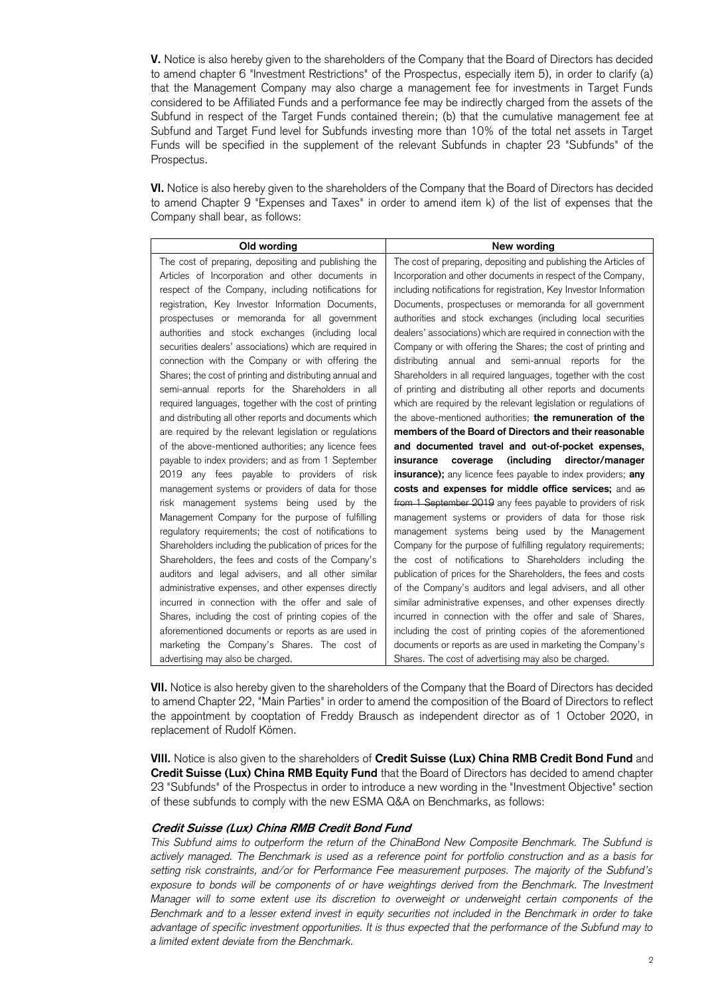**V.** Notice is also hereby given to the shareholders of the Company that the Board of Directors has decided to amend chapter 6 "Investment Restrictions" of the Prospectus, especially item 5), in order to clarify (a) that the Management Company may also charge a management fee for investments in Target Funds considered to be Affiliated Funds and a performance fee may be indirectly charged from the assets of the Subfund in respect of the Target Funds contained therein; (b) that the cumulative management fee at Subfund and Target Fund level for Subfunds investing more than 10% of the total net assets in Target Funds will be specified in the supplement of the relevant Subfunds in chapter 23 "Subfunds" of the Prospectus.

 **VI.** Notice is also hereby given to the shareholders of the Company that the Board of Directors has decided to amend Chapter 9 "Expenses and Taxes" in order to amend item k) of the list of expenses that the Company shall bear, as follows:

| Old wording                                              | New wording                                                        |  |  |
|----------------------------------------------------------|--------------------------------------------------------------------|--|--|
| The cost of preparing, depositing and publishing the     | The cost of preparing, depositing and publishing the Articles of   |  |  |
| Articles of Incorporation and other documents in         | Incorporation and other documents in respect of the Company,       |  |  |
| respect of the Company, including notifications for      | including notifications for registration, Key Investor Information |  |  |
| registration, Key Investor Information Documents,        | Documents, prospectuses or memoranda for all government            |  |  |
| prospectuses or memoranda for all government             | authorities and stock exchanges (including local securities        |  |  |
| authorities and stock exchanges (including local         | dealers' associations) which are required in connection with the   |  |  |
| securities dealers' associations) which are required in  | Company or with offering the Shares; the cost of printing and      |  |  |
| connection with the Company or with offering the         | distributing annual and semi-annual reports for the                |  |  |
| Shares; the cost of printing and distributing annual and | Shareholders in all required languages, together with the cost     |  |  |
| semi-annual reports for the Shareholders in all          | of printing and distributing all other reports and documents       |  |  |
| required languages, together with the cost of printing   | which are required by the relevant legislation or regulations of   |  |  |
| and distributing all other reports and documents which   | the above-mentioned authorities; the remuneration of the           |  |  |
| are required by the relevant legislation or regulations  | members of the Board of Directors and their reasonable             |  |  |
| of the above-mentioned authorities; any licence fees     | and documented travel and out-of-pocket expenses,                  |  |  |
| payable to index providers; and as from 1 September      | (including)<br>director/manager<br>insurance coverage              |  |  |
| 2019 any fees payable to providers of risk               | insurance); any licence fees payable to index providers; any       |  |  |
| management systems or providers of data for those        | costs and expenses for middle office services; and as              |  |  |
| risk management systems being used by the                | from 1 September 2019 any fees payable to providers of risk        |  |  |
| Management Company for the purpose of fulfilling         | management systems or providers of data for those risk             |  |  |
| regulatory requirements; the cost of notifications to    | management systems being used by the Management                    |  |  |
| Shareholders including the publication of prices for the | Company for the purpose of fulfilling regulatory requirements;     |  |  |
| Shareholders, the fees and costs of the Company's        | the cost of notifications to Shareholders including the            |  |  |
| auditors and legal advisers, and all other similar       | publication of prices for the Shareholders, the fees and costs     |  |  |
| administrative expenses, and other expenses directly     | of the Company's auditors and legal advisers, and all other        |  |  |
| incurred in connection with the offer and sale of        | similar administrative expenses, and other expenses directly       |  |  |
| Shares, including the cost of printing copies of the     | incurred in connection with the offer and sale of Shares,          |  |  |
| aforementioned documents or reports as are used in       | including the cost of printing copies of the aforementioned        |  |  |
| marketing the Company's Shares. The cost of              | documents or reports as are used in marketing the Company's        |  |  |
| advertising may also be charged.                         | Shares. The cost of advertising may also be charged.               |  |  |

 **VII.** Notice is also hereby given to the shareholders of the Company that the Board of Directors has decided to amend Chapter 22, "Main Parties" in order to amend the composition of the Board of Directors to reflect the appointment by cooptation of Freddy Brausch as independent director as of 1 October 2020, in replacement of Rudolf Kömen.

 **VIII.** Notice is also given to the shareholders of **Credit Suisse (Lux) China RMB Credit Bond Fund** and  **Credit Suisse (Lux) China RMB Equity Fund** that the Board of Directors has decided to amend chapter 23 "Subfunds" of the Prospectus in order to introduce a new wording in the "Investment Objective" section of these subfunds to comply with the new ESMA Q&A on Benchmarks, as follows:

## **Credit Suisse (Lux) China RMB Credit Bond Fund**

 *This Subfund aims to outperform the return of the ChinaBond New Composite Benchmark. The Subfund is actively managed. The Benchmark is used as a reference point for portfolio construction and as a basis for setting risk constraints, and/or for Performance Fee measurement purposes. The majority of the Subfund's exposure to bonds will be components of or have weightings derived from the Benchmark. The Investment Manager will to some extent use its discretion to overweight or underweight certain components of the Benchmark and to a lesser extend invest in equity securities not included in the Benchmark in order to take advantage of specific investment opportunities. It is thus expected that the performance of the Subfund may to a limited extent deviate from the Benchmark.*